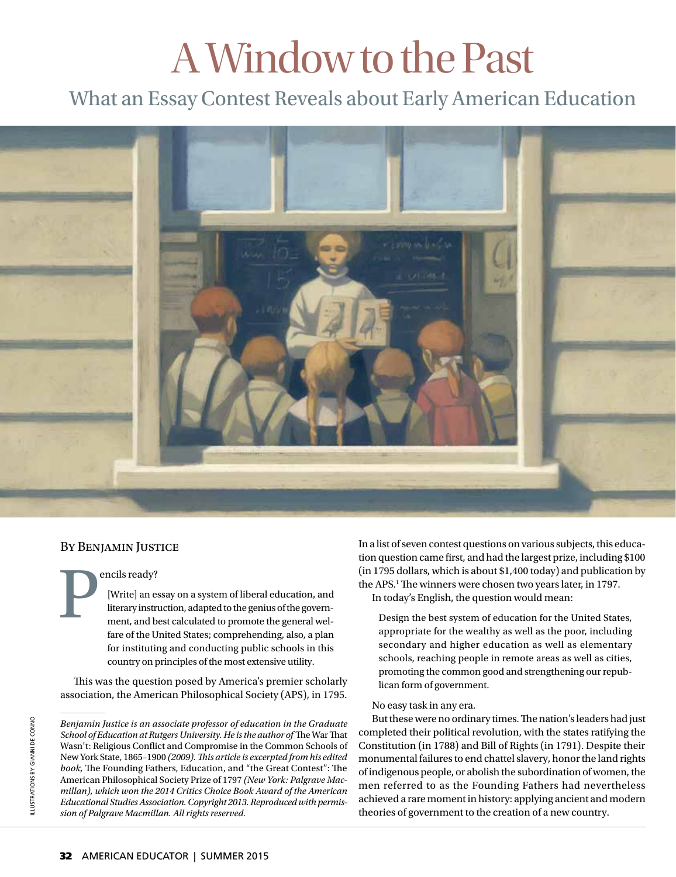# A Window to the Past

## What an Essay Contest Reveals about Early American Education



### By Benjamin Justice

encils ready?<br>
[Write] an e<br>
literary instruent, and b<br>
fore of the Li [Write] an essay on a system of liberal education, and literary instruction, adapted to the genius of the government, and best calculated to promote the general welfare of the United States; comprehending, also, a plan for instituting and conducting public schools in this country on principles of the most extensive utility.

This was the question posed by America's premier scholarly association, the American Philosophical Society (APS), in 1795.

*Benjamin Justice is an associate professor of education in the Graduate School of Education at Rutgers University. He is the author of The War That* Wasn't: Religious Conflict and Compromise in the Common Schools of New York State, 1865-1900 (2009). This article is excerpted from his edited *book,* The Founding Fathers, Education, and "the Great Contest": The American Philosophical Society Prize of 1797 *(New York: Palgrave Macmillan), which won the 2014 Critics Choice Book Award of the American Educational Studies Association. Copyright 2013. Reproduced with permission of Palgrave Macmillan. All rights reserved.*

In a list of seven contest questions on various subjects, this education question came first, and had the largest prize, including \$100 (in 1795 dollars, which is about \$1,400 today) and publication by the APS.<sup>1</sup> The winners were chosen two years later, in 1797. In today's English, the question would mean:

Design the best system of education for the United States, appropriate for the wealthy as well as the poor, including secondary and higher education as well as elementary schools, reaching people in remote areas as well as cities, promoting the common good and strengthening our republican form of government.

#### No easy task in any era.

But these were no ordinary times. The nation's leaders had just completed their political revolution, with the states ratifying the Constitution (in 1788) and Bill of Rights (in 1791). Despite their monumental failures to end chattel slavery, honor the land rights of indigenous people, or abolish the subordination of women, the men referred to as the Founding Fathers had nevertheless achieved a rare moment in history: applying ancient and modern theories of government to the creation of a new country.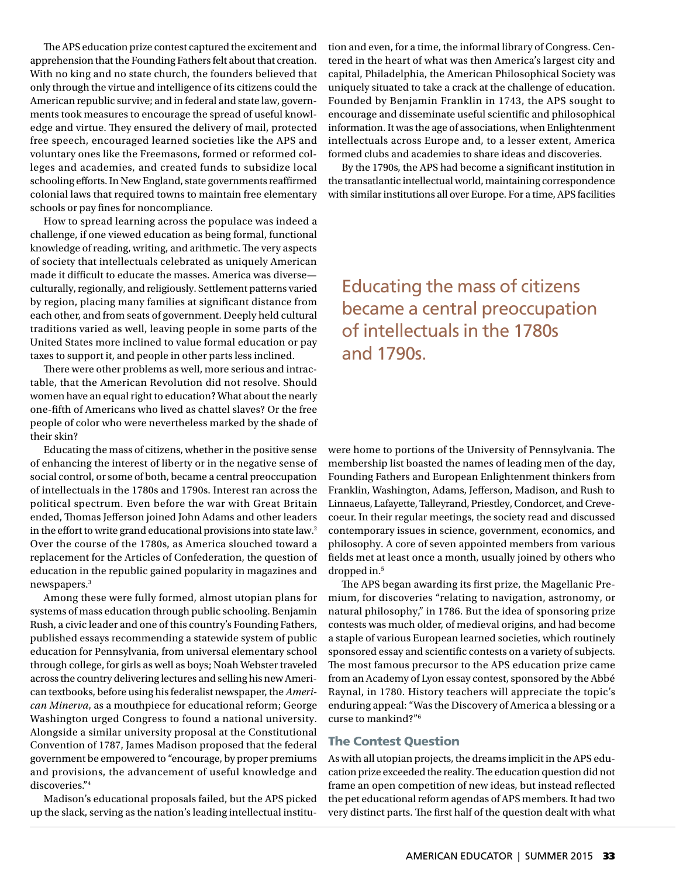The APS education prize contest captured the excitement and apprehension that the Founding Fathers felt about that creation. With no king and no state church, the founders believed that only through the virtue and intelligence of its citizens could the American republic survive; and in federal and state law, governments took measures to encourage the spread of useful knowledge and virtue. They ensured the delivery of mail, protected free speech, encouraged learned societies like the APS and voluntary ones like the Freemasons, formed or reformed colleges and academies, and created funds to subsidize local schooling efforts. In New England, state governments reaffirmed colonial laws that required towns to maintain free elementary schools or pay fines for noncompliance.

How to spread learning across the populace was indeed a challenge, if one viewed education as being formal, functional knowledge of reading, writing, and arithmetic. The very aspects of society that intellectuals celebrated as uniquely American made it difficult to educate the masses. America was diverseculturally, regionally, and religiously. Settlement patterns varied by region, placing many families at significant distance from each other, and from seats of government. Deeply held cultural traditions varied as well, leaving people in some parts of the United States more inclined to value formal education or pay taxes to support it, and people in other parts less inclined.

There were other problems as well, more serious and intractable, that the American Revolution did not resolve. Should women have an equal right to education? What about the nearly one-fifth of Americans who lived as chattel slaves? Or the free people of color who were nevertheless marked by the shade of their skin?

Educating the mass of citizens, whether in the positive sense of enhancing the interest of liberty or in the negative sense of social control, or some of both, became a central preoccupation of intellectuals in the 1780s and 1790s. Interest ran across the political spectrum. Even before the war with Great Britain ended, Thomas Jefferson joined John Adams and other leaders in the effort to write grand educational provisions into state law.<sup>2</sup> Over the course of the 1780s, as America slouched toward a replacement for the Articles of Confederation, the question of education in the republic gained popularity in magazines and newspapers.3

Among these were fully formed, almost utopian plans for systems of mass education through public schooling. Benjamin Rush, a civic leader and one of this country's Founding Fathers, published essays recommending a statewide system of public education for Pennsylvania, from universal elementary school through college, for girls as well as boys; Noah Webster traveled across the country delivering lectures and selling his new American textbooks, before using his federalist newspaper, the *American Minerva*, as a mouthpiece for educational reform; George Washington urged Congress to found a national university. Alongside a similar university proposal at the Constitutional Convention of 1787, James Madison proposed that the federal government be empowered to "encourage, by proper premiums and provisions, the advancement of useful knowledge and discoveries."4

Madison's educational proposals failed, but the APS picked up the slack, serving as the nation's leading intellectual institution and even, for a time, the informal library of Congress. Centered in the heart of what was then America's largest city and capital, Philadelphia, the American Philosophical Society was uniquely situated to take a crack at the challenge of education. Founded by Benjamin Franklin in 1743, the APS sought to encourage and disseminate useful scientific and philosophical information. It was the age of associations, when Enlightenment intellectuals across Europe and, to a lesser extent, America formed clubs and academies to share ideas and discoveries.

By the 1790s, the APS had become a significant institution in the transatlantic intellectual world, maintaining correspondence with similar institutions all over Europe. For a time, APS facilities

Educating the mass of citizens became a central preoccupation of intellectuals in the 1780s and 1790s.

were home to portions of the University of Pennsylvania. The membership list boasted the names of leading men of the day, Founding Fathers and European Enlightenment thinkers from Franklin, Washington, Adams, Jefferson, Madison, and Rush to Linnaeus, Lafayette, Talleyrand, Priestley, Condorcet, and Crevecoeur. In their regular meetings, the society read and discussed contemporary issues in science, government, economics, and philosophy. A core of seven appointed members from various fields met at least once a month, usually joined by others who dropped in.<sup>5</sup>

The APS began awarding its first prize, the Magellanic Premium, for discoveries "relating to navigation, astronomy, or natural philosophy," in 1786. But the idea of sponsoring prize contests was much older, of medieval origins, and had become a staple of various European learned societies, which routinely sponsored essay and scientific contests on a variety of subjects. The most famous precursor to the APS education prize came from an Academy of Lyon essay contest, sponsored by the Abbé Raynal, in 1780. History teachers will appreciate the topic's enduring appeal: "Was the Discovery of America a blessing or a curse to mankind?"6

#### The Contest Question

As with all utopian projects, the dreams implicit in the APS education prize exceeded the reality. The education question did not frame an open competition of new ideas, but instead reflected the pet educational reform agendas of APS members. It had two very distinct parts. The first half of the question dealt with what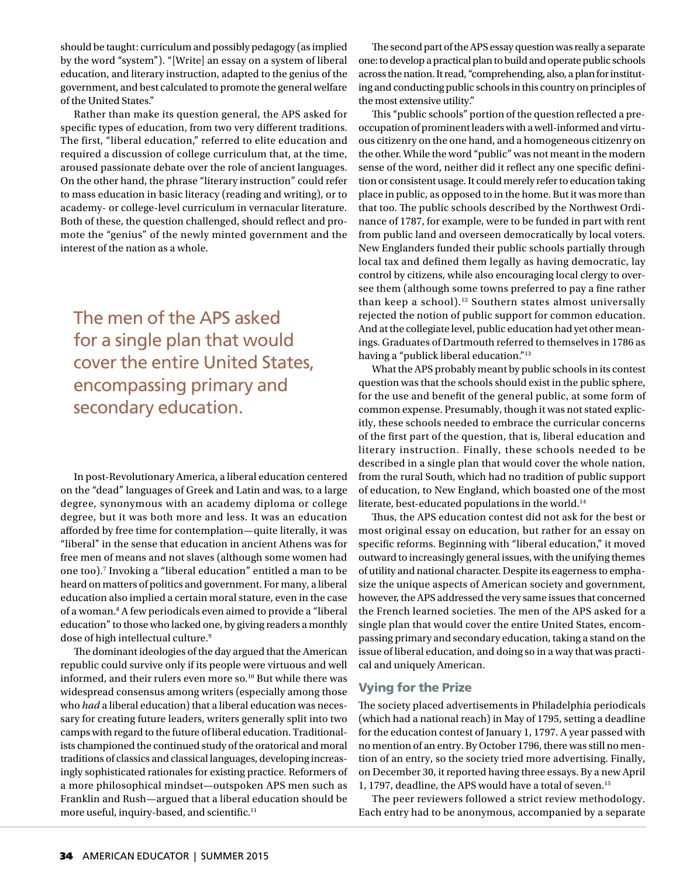should be taught: curriculum and possibly pedagogy (as implied by the word "system"). "[Write] an essay on a system of liberal education, and literary instruction, adapted to the genius of the government, and best calculated to promote the general welfare of the United States."

Rather than make its question general, the APS asked for specific types of education, from two very different traditions. The first, "liberal education," referred to elite education and required a discussion of college curriculum that, at the time, aroused passionate debate over the role of ancient languages. On the other hand, the phrase "literary instruction" could refer to mass education in basic literacy (reading and writing), or to academy- or college-level curriculum in vernacular literature. Both of these, the question challenged, should reflect and promote the "genius" of the newly minted government and the interest of the nation as a whole.

The men of the APS asked for a single plan that would cover the entire United States, encompassing primary and secondary education.

In post-Revolutionary America, a liberal education centered on the "dead" languages of Greek and Latin and was, to a large degree, synonymous with an academy diploma or college degree, but it was both more and less. It was an education afforded by free time for contemplation—quite literally, it was "liberal" in the sense that education in ancient Athens was for free men of means and not slaves (although some women had one too).7 Invoking a "liberal education" entitled a man to be heard on matters of politics and government. For many, a liberal education also implied a certain moral stature, even in the case of a woman.<sup>8</sup> A few periodicals even aimed to provide a "liberal education" to those who lacked one, by giving readers a monthly dose of high intellectual culture.<sup>9</sup>

The dominant ideologies of the day argued that the American republic could survive only if its people were virtuous and well informed, and their rulers even more so.<sup>10</sup> But while there was widespread consensus among writers (especially among those who *had* a liberal education) that a liberal education was necessary for creating future leaders, writers generally split into two camps with regard to the future of liberal education. Traditionalists championed the continued study of the oratorical and moral traditions of classics and classical languages, developing increasingly sophisticated rationales for existing practice. Reformers of a more philosophical mindset—outspoken APS men such as Franklin and Rush—argued that a liberal education should be more useful, inquiry-based, and scientific.<sup>11</sup>

The second part of the APS essay question was really a separate one: to develop a practical plan to build and operate public schools across the nation. It read, "comprehending, also, a plan for instituting and conducting public schools in this country on principles of the most extensive utility."

This "public schools" portion of the question reflected a preoccupation of prominent leaders with a well-informed and virtuous citizenry on the one hand, and a homogeneous citizenry on the other. While the word "public" was not meant in the modern sense of the word, neither did it reflect any one specific definition or consistent usage. It could merely refer to education taking place in public, as opposed to in the home. But it was more than that too. The public schools described by the Northwest Ordinance of 1787, for example, were to be funded in part with rent from public land and overseen democratically by local voters. New Englanders funded their public schools partially through local tax and defined them legally as having democratic, lay control by citizens, while also encouraging local clergy to oversee them (although some towns preferred to pay a fine rather than keep a school).<sup>12</sup> Southern states almost universally rejected the notion of public support for common education. And at the collegiate level, public education had yet other meanings. Graduates of Dartmouth referred to themselves in 1786 as having a "publick liberal education."13

What the APS probably meant by public schools in its contest question was that the schools should exist in the public sphere, for the use and benefit of the general public, at some form of common expense. Presumably, though it was not stated explicitly, these schools needed to embrace the curricular concerns of the first part of the question, that is, liberal education and literary instruction. Finally, these schools needed to be described in a single plan that would cover the whole nation, from the rural South, which had no tradition of public support of education, to New England, which boasted one of the most literate, best-educated populations in the world.<sup>14</sup>

Thus, the APS education contest did not ask for the best or most original essay on education, but rather for an essay on specific reforms. Beginning with "liberal education," it moved outward to increasingly general issues, with the unifying themes of utility and national character. Despite its eagerness to emphasize the unique aspects of American society and government, however, the APS addressed the very same issues that concerned the French learned societies. The men of the APS asked for a single plan that would cover the entire United States, encompassing primary and secondary education, taking a stand on the issue of liberal education, and doing so in a way that was practical and uniquely American.

#### Vying for the Prize

The society placed advertisements in Philadelphia periodicals (which had a national reach) in May of 1795, setting a deadline for the education contest of January 1, 1797. A year passed with no mention of an entry. By October 1796, there was still no mention of an entry, so the society tried more advertising. Finally, on December 30, it reported having three essays. By a new April 1, 1797, deadline, the APS would have a total of seven.15

The peer reviewers followed a strict review methodology. Each entry had to be anonymous, accompanied by a separate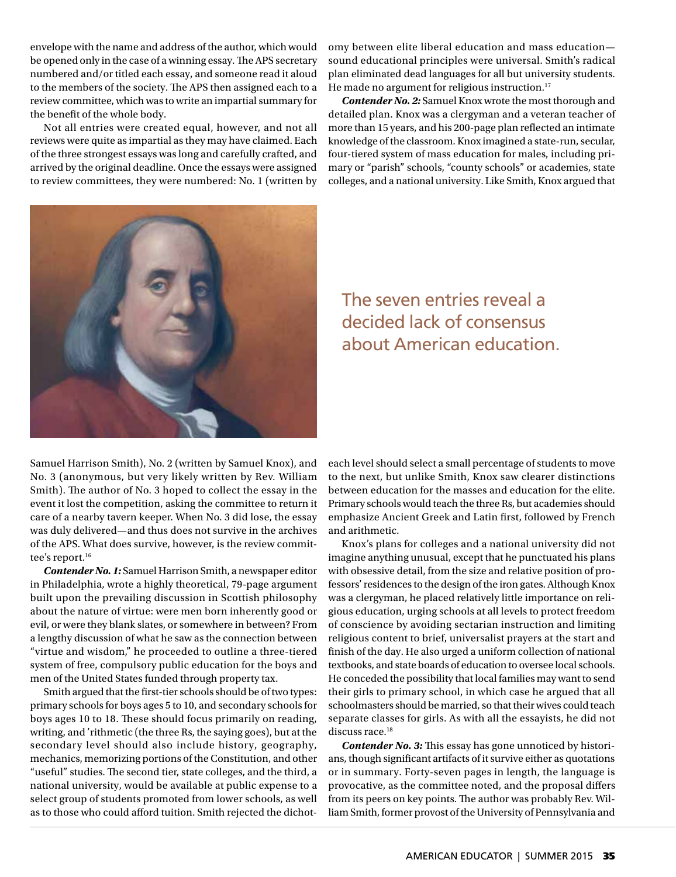envelope with the name and address of the author, which would be opened only in the case of a winning essay. The APS secretary numbered and/or titled each essay, and someone read it aloud to the members of the society. The APS then assigned each to a review committee, which was to write an impartial summary for the benefit of the whole body.

Not all entries were created equal, however, and not all reviews were quite as impartial as they may have claimed. Each of the three strongest essays was long and carefully crafted, and arrived by the original deadline. Once the essays were assigned to review committees, they were numbered: No. 1 (written by omy between elite liberal education and mass education sound educational principles were universal. Smith's radical plan eliminated dead languages for all but university students. He made no argument for religious instruction.<sup>17</sup>

*Contender No. 2:* Samuel Knox wrote the most thorough and detailed plan. Knox was a clergyman and a veteran teacher of more than 15 years, and his 200-page plan reflected an intimate knowledge of the classroom. Knox imagined a state-run, secular, four-tiered system of mass education for males, including primary or "parish" schools, "county schools" or academies, state colleges, and a national university. Like Smith, Knox argued that



The seven entries reveal a decided lack of consensus about American education.

Samuel Harrison Smith), No. 2 (written by Samuel Knox), and No. 3 (anonymous, but very likely written by Rev. William Smith). The author of No. 3 hoped to collect the essay in the event it lost the competition, asking the committee to return it care of a nearby tavern keeper. When No. 3 did lose, the essay was duly delivered—and thus does not survive in the archives of the APS. What does survive, however, is the review committee's report.<sup>16</sup>

*Contender No. 1:* Samuel Harrison Smith, a newspaper editor in Philadelphia, wrote a highly theoretical, 79-page argument built upon the prevailing discussion in Scottish philosophy about the nature of virtue: were men born inherently good or evil, or were they blank slates, or somewhere in between? From a lengthy discussion of what he saw as the connection between "virtue and wisdom," he proceeded to outline a three-tiered system of free, compulsory public education for the boys and men of the United States funded through property tax.

Smith argued that the first-tier schools should be of two types: primary schools for boys ages 5 to 10, and secondary schools for boys ages 10 to 18. These should focus primarily on reading, writing, and 'rithmetic (the three Rs, the saying goes), but at the secondary level should also include history, geography, mechanics, memorizing portions of the Constitution, and other "useful" studies. The second tier, state colleges, and the third, a national university, would be available at public expense to a select group of students promoted from lower schools, as well as to those who could afford tuition. Smith rejected the dichoteach level should select a small percentage of students to move to the next, but unlike Smith, Knox saw clearer distinctions between education for the masses and education for the elite. Primary schools would teach the three Rs, but academies should emphasize Ancient Greek and Latin first, followed by French and arithmetic.

Knox's plans for colleges and a national university did not imagine anything unusual, except that he punctuated his plans with obsessive detail, from the size and relative position of professors' residences to the design of the iron gates. Although Knox was a clergyman, he placed relatively little importance on religious education, urging schools at all levels to protect freedom of conscience by avoiding sectarian instruction and limiting religious content to brief, universalist prayers at the start and finish of the day. He also urged a uniform collection of national textbooks, and state boards of education to oversee local schools. He conceded the possibility that local families may want to send their girls to primary school, in which case he argued that all schoolmasters should be married, so that their wives could teach separate classes for girls. As with all the essayists, he did not discuss race.<sup>18</sup>

*Contender No. 3:* This essay has gone unnoticed by historians, though significant artifacts of it survive either as quotations or in summary. Forty-seven pages in length, the language is provocative, as the committee noted, and the proposal differs from its peers on key points. The author was probably Rev. William Smith, former provost of the University of Pennsylvania and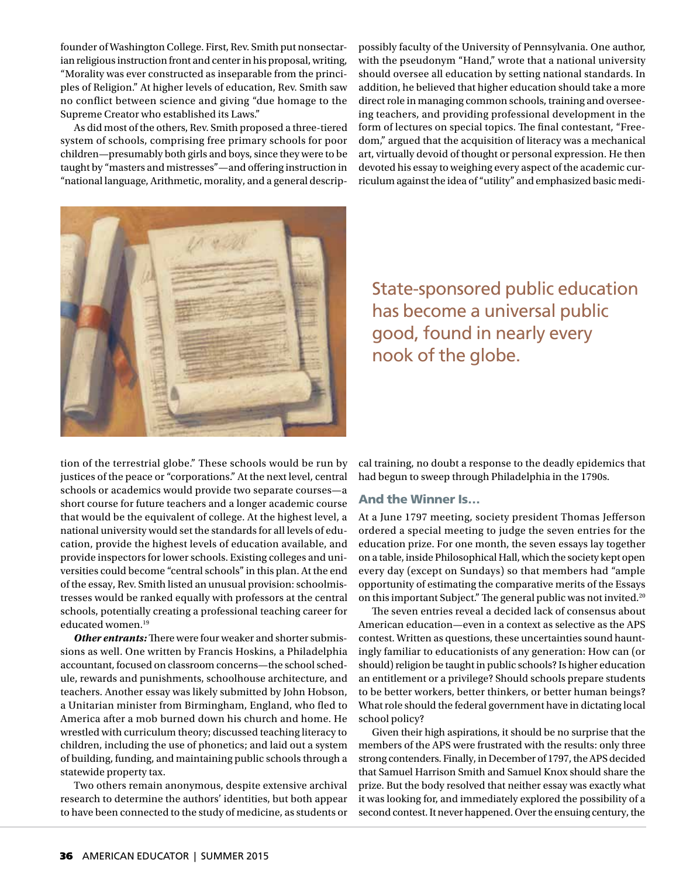founder of Washington College. First, Rev. Smith put nonsectarian religious instruction front and center in his proposal, writing, "Morality was ever constructed as inseparable from the principles of Religion." At higher levels of education, Rev. Smith saw no conflict between science and giving "due homage to the Supreme Creator who established its Laws."

As did most of the others, Rev. Smith proposed a three-tiered system of schools, comprising free primary schools for poor children—presumably both girls and boys, since they were to be taught by "masters and mistresses"—and offering instruction in "national language, Arithmetic, morality, and a general descrippossibly faculty of the University of Pennsylvania. One author, with the pseudonym "Hand," wrote that a national university should oversee all education by setting national standards. In addition, he believed that higher education should take a more direct role in managing common schools, training and overseeing teachers, and providing professional development in the form of lectures on special topics. The final contestant, "Freedom," argued that the acquisition of literacy was a mechanical art, virtually devoid of thought or personal expression. He then devoted his essay to weighing every aspect of the academic curriculum against the idea of "utility" and emphasized basic medi-



State-sponsored public education has become a universal public good, found in nearly every nook of the globe.

tion of the terrestrial globe." These schools would be run by justices of the peace or "corporations." At the next level, central schools or academics would provide two separate courses—a short course for future teachers and a longer academic course that would be the equivalent of college. At the highest level, a national university would set the standards for all levels of education, provide the highest levels of education available, and provide inspectors for lower schools. Existing colleges and universities could become "central schools" in this plan. At the end of the essay, Rev. Smith listed an unusual provision: schoolmistresses would be ranked equally with professors at the central schools, potentially creating a professional teaching career for educated women.19

**Other entrants:** There were four weaker and shorter submissions as well. One written by Francis Hoskins, a Philadelphia accountant, focused on classroom concerns—the school schedule, rewards and punishments, schoolhouse architecture, and teachers. Another essay was likely submitted by John Hobson, a Unitarian minister from Birmingham, England, who fled to America after a mob burned down his church and home. He wrestled with curriculum theory; discussed teaching literacy to children, including the use of phonetics; and laid out a system of building, funding, and maintaining public schools through a statewide property tax.

Two others remain anonymous, despite extensive archival research to determine the authors' identities, but both appear to have been connected to the study of medicine, as students or cal training, no doubt a response to the deadly epidemics that had begun to sweep through Philadelphia in the 1790s.

#### And the Winner Is…

At a June 1797 meeting, society president Thomas Jefferson ordered a special meeting to judge the seven entries for the education prize. For one month, the seven essays lay together on a table, inside Philosophical Hall, which the society kept open every day (except on Sundays) so that members had "ample opportunity of estimating the comparative merits of the Essays on this important Subject." The general public was not invited.<sup>20</sup>

The seven entries reveal a decided lack of consensus about American education—even in a context as selective as the APS contest. Written as questions, these uncertainties sound hauntingly familiar to educationists of any generation: How can (or should) religion be taught in public schools? Is higher education an entitlement or a privilege? Should schools prepare students to be better workers, better thinkers, or better human beings? What role should the federal government have in dictating local school policy?

Given their high aspirations, it should be no surprise that the members of the APS were frustrated with the results: only three strong contenders. Finally, in December of 1797, the APS decided that Samuel Harrison Smith and Samuel Knox should share the prize. But the body resolved that neither essay was exactly what it was looking for, and immediately explored the possibility of a second contest. It never happened. Over the ensuing century, the